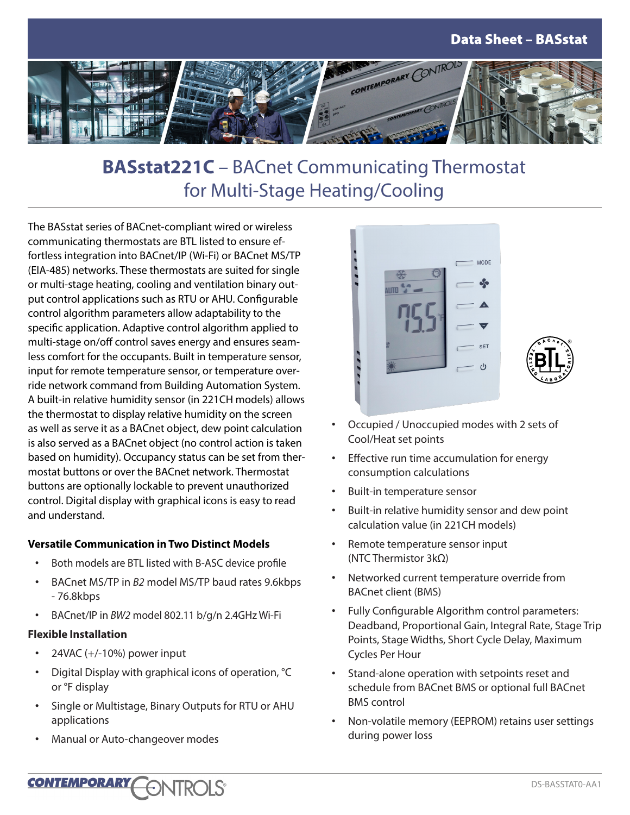

# **BASstat221C** – BACnet Communicating Thermostat for Multi-Stage Heating/Cooling

The BASstat series of BACnet-compliant wired or wireless communicating thermostats are BTL listed to ensure effortless integration into BACnet/IP (Wi-Fi) or BACnet MS/TP (EIA-485) networks. These thermostats are suited for single or multi-stage heating, cooling and ventilation binary output control applications such as RTU or AHU. Configurable control algorithm parameters allow adaptability to the specific application. Adaptive control algorithm applied to multi-stage on/off control saves energy and ensures seamless comfort for the occupants. Built in temperature sensor, input for remote temperature sensor, or temperature override network command from Building Automation System. A built-in relative humidity sensor (in 221CH models) allows the thermostat to display relative humidity on the screen as well as serve it as a BACnet object, dew point calculation is also served as a BACnet object (no control action is taken based on humidity). Occupancy status can be set from thermostat buttons or over the BACnet network. Thermostat buttons are optionally lockable to prevent unauthorized control. Digital display with graphical icons is easy to read and understand.

#### **Versatile Communication in Two Distinct Models**

- Both models are BTL listed with B-ASC device profile
- BACnet MS/TP in *B2* model MS/TP baud rates 9.6kbps - 76.8kbps
- BACnet/IP in *BW2* model 802.11 b/g/n 2.4GHz Wi-Fi

#### **Flexible Installation**

- 24VAC (+/-10%) power input
- Digital Display with graphical icons of operation, °C or °F display
- Single or Multistage, Binary Outputs for RTU or AHU applications
- Manual or Auto-changeover modes



- Occupied / Unoccupied modes with 2 sets of Cool/Heat set points
- Effective run time accumulation for energy consumption calculations
- Built-in temperature sensor
- Built-in relative humidity sensor and dew point calculation value (in 221CH models)
- Remote temperature sensor input (NTC Thermistor 3kΩ)
- Networked current temperature override from BACnet client (BMS)
- Fully Configurable Algorithm control parameters: Deadband, Proportional Gain, Integral Rate, Stage Trip Points, Stage Widths, Short Cycle Delay, Maximum Cycles Per Hour
- Stand-alone operation with setpoints reset and schedule from BACnet BMS or optional full BACnet BMS control
- Non-volatile memory (EEPROM) retains user settings during power loss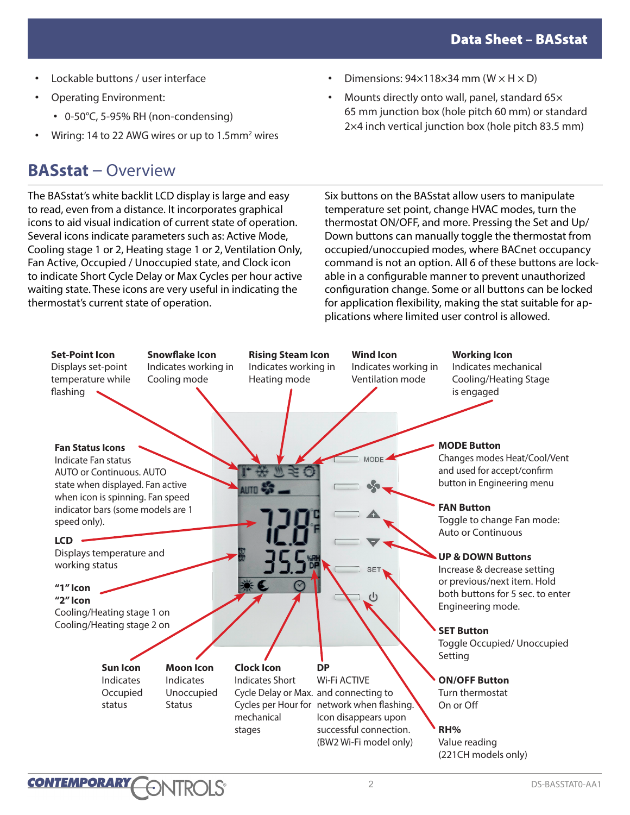- Lockable buttons / user interface
- Operating Environment:
	- 0-50°C, 5-95% RH (non-condensing)
- Wiring: 14 to 22 AWG wires or up to 1.5mm<sup>2</sup> wires

## **BASstat** – Overview

The BASstat's white backlit LCD display is large and easy to read, even from a distance. It incorporates graphical icons to aid visual indication of current state of operation. Several icons indicate parameters such as: Active Mode, Cooling stage 1 or 2, Heating stage 1 or 2, Ventilation Only, Fan Active, Occupied / Unoccupied state, and Clock icon to indicate Short Cycle Delay or Max Cycles per hour active waiting state. These icons are very useful in indicating the thermostat's current state of operation.

- Dimensions:  $94\times118\times34$  mm (W  $\times$  H  $\times$  D)
- Mounts directly onto wall, panel, standard 65 $\times$ 65 mm junction box (hole pitch 60 mm) or standard 2×4 inch vertical junction box (hole pitch 83.5 mm)

Six buttons on the BASstat allow users to manipulate temperature set point, change HVAC modes, turn the thermostat ON/OFF, and more. Pressing the Set and Up/ Down buttons can manually toggle the thermostat from occupied/unoccupied modes, where BACnet occupancy command is not an option. All 6 of these buttons are lockable in a configurable manner to prevent unauthorized configuration change. Some or all buttons can be locked for application flexibility, making the stat suitable for applications where limited user control is allowed.

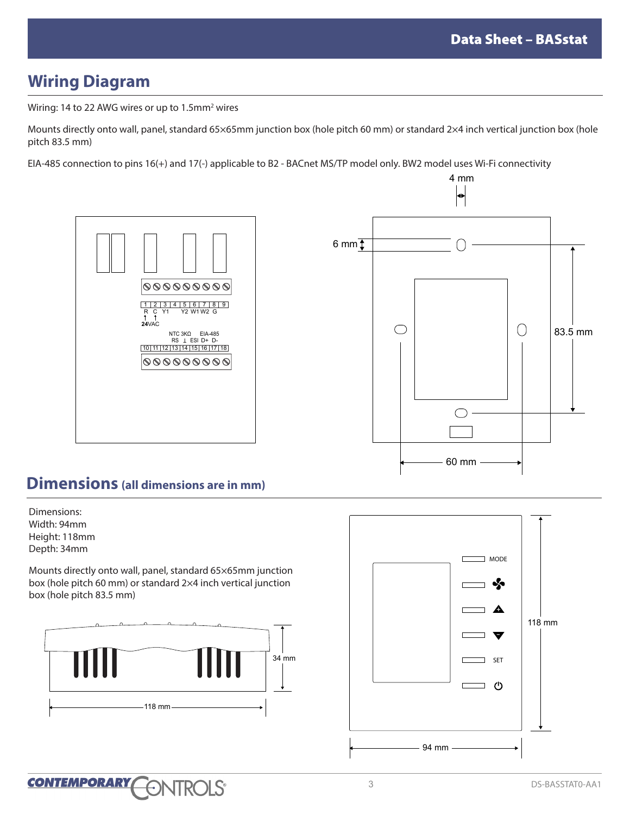## **Wiring Diagram**

Wiring: 14 to 22 AWG wires or up to 1.5 $\text{mm}^2$  wires

Mounts directly onto wall, panel, standard 65×65mm junction box (hole pitch 60 mm) or standard 2×4 inch vertical junction box (hole pitch 83.5 mm)

EIA-485 connection to pins 16(+) and 17(-) applicable to B2 - BACnet MS/TP model only. BW2 model uses Wi-Fi connectivity





## **Dimensions (all dimensions are in mm)**

Dimensions: Width: 94mm Height: 118mm Depth: 34mm

Mounts directly onto wall, panel, standard 65×65mm junction box (hole pitch 60 mm) or standard 2×4 inch vertical junction box (hole pitch 83.5 mm)



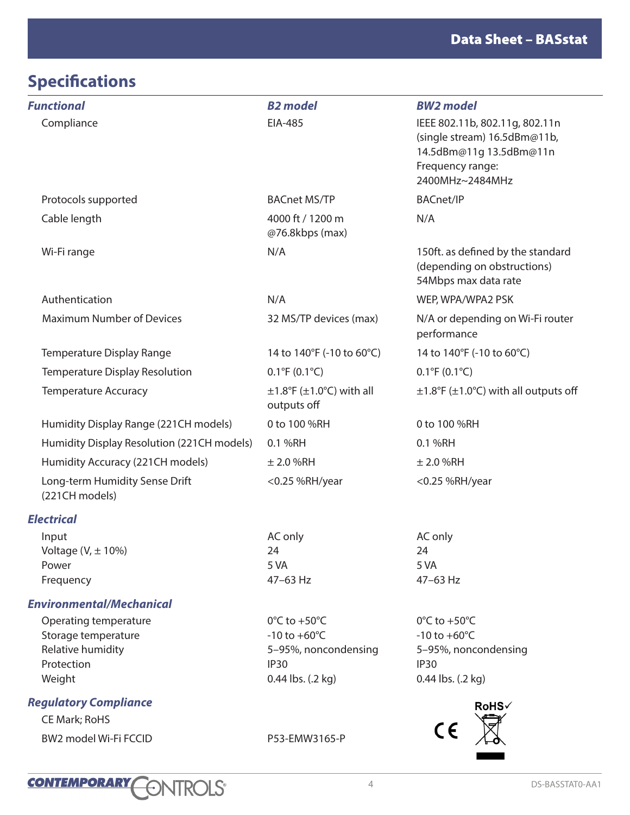# **Specifications**

| <b>Functional</b>                                                                         | <b>B2</b> model                                                                                                    | <b>BW2</b> model                                                                                                                 |
|-------------------------------------------------------------------------------------------|--------------------------------------------------------------------------------------------------------------------|----------------------------------------------------------------------------------------------------------------------------------|
| Compliance                                                                                | EIA-485                                                                                                            | IEEE 802.11b, 802.11g, 802.11n<br>(single stream) 16.5dBm@11b,<br>14.5dBm@11g 13.5dBm@11n<br>Frequency range:<br>2400MHz~2484MHz |
| Protocols supported                                                                       | <b>BACnet MS/TP</b>                                                                                                | <b>BACnet/IP</b>                                                                                                                 |
| Cable length                                                                              | 4000 ft / 1200 m<br>@76.8kbps (max)                                                                                | N/A                                                                                                                              |
| Wi-Fi range                                                                               | N/A                                                                                                                | 150ft. as defined by the standard<br>(depending on obstructions)<br>54Mbps max data rate                                         |
| Authentication                                                                            | N/A                                                                                                                | WEP, WPA/WPA2 PSK                                                                                                                |
| <b>Maximum Number of Devices</b>                                                          | 32 MS/TP devices (max)                                                                                             | N/A or depending on Wi-Fi router<br>performance                                                                                  |
| Temperature Display Range                                                                 | 14 to 140°F (-10 to 60°C)                                                                                          | 14 to 140°F (-10 to 60°C)                                                                                                        |
| Temperature Display Resolution                                                            | $0.1^{\circ}F(0.1^{\circ}C)$                                                                                       | $0.1^{\circ}F(0.1^{\circ}C)$                                                                                                     |
| <b>Temperature Accuracy</b>                                                               | $\pm 1.8$ °F ( $\pm 1.0$ °C) with all<br>outputs off                                                               | $\pm$ 1.8°F ( $\pm$ 1.0°C) with all outputs off                                                                                  |
| Humidity Display Range (221CH models)                                                     | 0 to 100 %RH                                                                                                       | 0 to 100 %RH                                                                                                                     |
| Humidity Display Resolution (221CH models)                                                | 0.1 %RH                                                                                                            | 0.1 %RH                                                                                                                          |
| Humidity Accuracy (221CH models)                                                          | ± 2.0 %RH                                                                                                          | $\pm$ 2.0 %RH                                                                                                                    |
| Long-term Humidity Sense Drift<br>(221CH models)                                          | <0.25 %RH/year                                                                                                     | <0.25 %RH/year                                                                                                                   |
| <b>Electrical</b>                                                                         |                                                                                                                    |                                                                                                                                  |
| Input<br>Voltage $(V, \pm 10\%)$<br>Power<br>Frequency                                    | AC only<br>24<br>5 VA<br>47-63 Hz                                                                                  | AC only<br>24<br>5 VA<br>47-63 Hz                                                                                                |
| <b>Environmental/Mechanical</b>                                                           |                                                                                                                    |                                                                                                                                  |
| Operating temperature<br>Storage temperature<br>Relative humidity<br>Protection<br>Weight | $0^{\circ}$ C to +50 $^{\circ}$ C<br>$-10$ to $+60^{\circ}$ C<br>5-95%, noncondensing<br>IP30<br>0.44 lbs. (.2 kg) | $0^{\circ}$ C to +50 $^{\circ}$ C<br>$-10$ to $+60^{\circ}$ C<br>5-95%, noncondensing<br>IP <sub>30</sub><br>0.44 lbs. (.2 kg)   |
| <b>Regulatory Compliance</b>                                                              |                                                                                                                    | RoHS√                                                                                                                            |
| <b>CE Mark; RoHS</b>                                                                      |                                                                                                                    |                                                                                                                                  |
| BW2 model Wi-Fi FCCID                                                                     | P53-EMW3165-P                                                                                                      | CE                                                                                                                               |